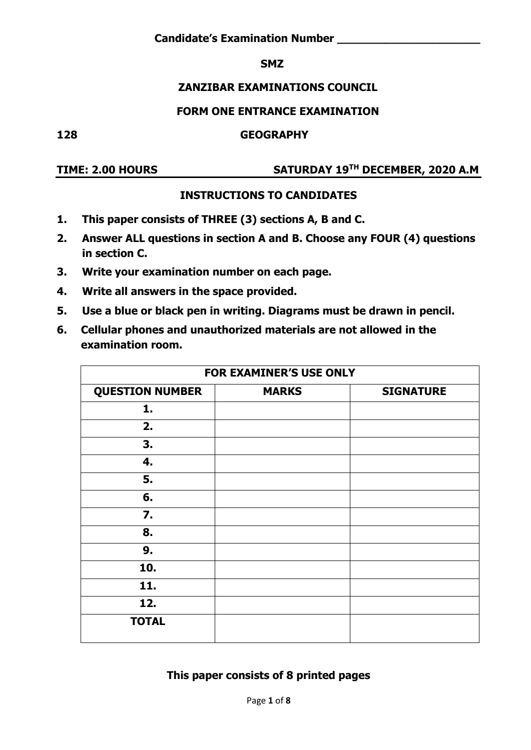#### **SMZ** SMZ SMZ

#### **ZANZIBAR EXAMINATIONS COUNCIL**

#### **FORM ONE ENTRANCE EXAMINATION**

**128 GEOGRAPHY** 

## **TIME: 2.00 HOURS SATURDAY 19TH DECEMBER, 2020 A.M**

#### **INSTRUCTIONS TO CANDIDATES**

- **1. This paper consists of THREE (3) sections A, B and C.**
- **2. Answer ALL questions in section A and B. Choose any FOUR (4) questions in section C.**
- **3. Write your examination number on each page.**
- **4. Write all answers in the space provided.**
- **5. Use a blue or black pen in writing. Diagrams must be drawn in pencil.**
- **6. Cellular phones and unauthorized materials are not allowed in the examination room.**

| <b>FOR EXAMINER'S USE ONLY</b> |              |                  |  |  |
|--------------------------------|--------------|------------------|--|--|
| <b>QUESTION NUMBER</b>         | <b>MARKS</b> | <b>SIGNATURE</b> |  |  |
| 1.                             |              |                  |  |  |
| 2.                             |              |                  |  |  |
| 3.                             |              |                  |  |  |
| 4.                             |              |                  |  |  |
| 5.                             |              |                  |  |  |
| 6.                             |              |                  |  |  |
| $\mathbf{7}$ .                 |              |                  |  |  |
| 8.                             |              |                  |  |  |
| 9.                             |              |                  |  |  |
| 10.                            |              |                  |  |  |
| 11.                            |              |                  |  |  |
| 12.                            |              |                  |  |  |
| <b>TOTAL</b>                   |              |                  |  |  |

#### **This paper consists of 8 printed pages**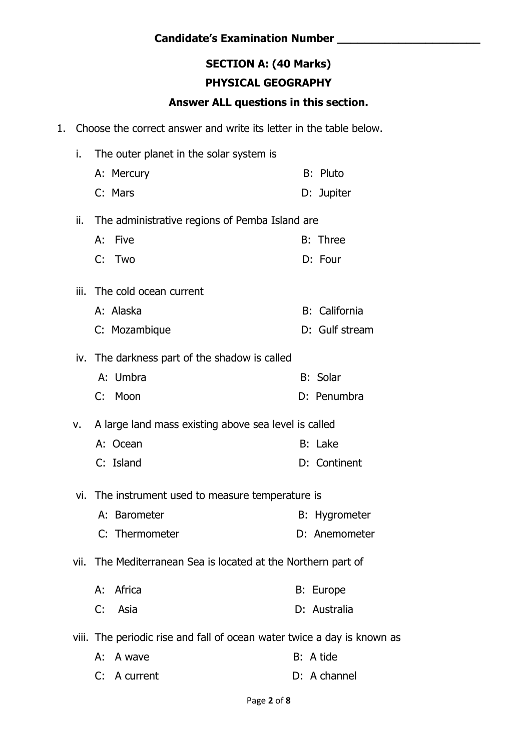# **SECTION A: (40 Marks)**

## **PHYSICAL GEOGRAPHY**

#### **Answer ALL questions in this section.**

1. Choose the correct answer and write its letter in the table below.

| i.  | The outer planet in the solar system is                                 |                      |  |  |
|-----|-------------------------------------------------------------------------|----------------------|--|--|
|     | A: Mercury                                                              | <b>B:</b> Pluto      |  |  |
|     | C: Mars                                                                 | D: Jupiter           |  |  |
| ii. | The administrative regions of Pemba Island are                          |                      |  |  |
|     | Five<br>А:                                                              | <b>B: Three</b>      |  |  |
|     | C: Two                                                                  | D: Four              |  |  |
|     | iii. The cold ocean current                                             |                      |  |  |
|     | A: Alaska                                                               | B: California        |  |  |
|     | C: Mozambique                                                           | D: Gulf stream       |  |  |
|     | iv. The darkness part of the shadow is called                           |                      |  |  |
|     | A: Umbra                                                                | <b>B:</b> Solar      |  |  |
|     | C: Moon                                                                 | D: Penumbra          |  |  |
| v.  | A large land mass existing above sea level is called                    |                      |  |  |
|     | A: Ocean                                                                | B: Lake              |  |  |
|     | C: Island                                                               | D: Continent         |  |  |
|     | vi. The instrument used to measure temperature is                       |                      |  |  |
|     | A: Barometer                                                            | <b>B:</b> Hygrometer |  |  |
|     | C: Thermometer                                                          | D: Anemometer        |  |  |
|     | vii. The Mediterranean Sea is located at the Northern part of           |                      |  |  |
|     | A: Africa                                                               | B: Europe            |  |  |
|     | C: Asia                                                                 | D: Australia         |  |  |
|     | viii. The periodic rise and fall of ocean water twice a day is known as |                      |  |  |
|     | A: A wave                                                               | B: A tide            |  |  |
|     | C: A current                                                            | D: A channel         |  |  |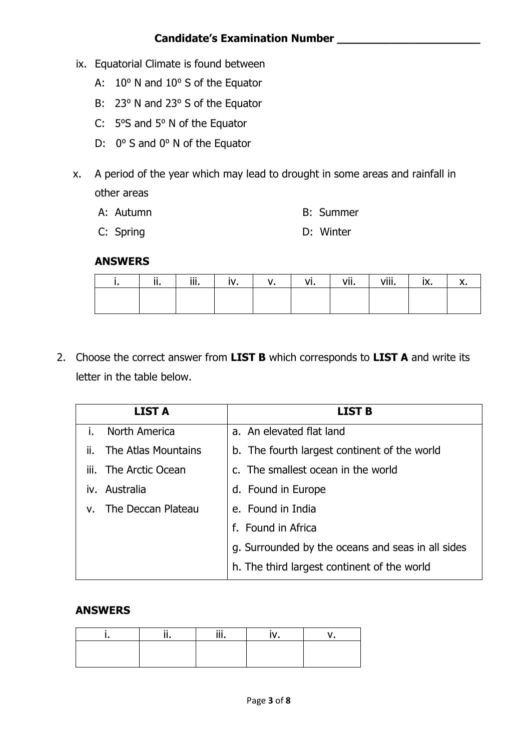- ix. Equatorial Climate is found between
	- A: 10° N and 10° S of the Equator
	- B: 23° N and 23° S of the Equator
	- C: 5°S and 5°N of the Equator
	- D:  $0^{\circ}$  S and  $0^{\circ}$  N of the Equator
- x. A period of the year which may lead to drought in some areas and rainfall in other areas

|  | A: Autumn |  | <b>B:</b> Summer |
|--|-----------|--|------------------|
|--|-----------|--|------------------|

C: Spring D: Winter

#### **ANSWERS**

| <br> | iii.<br>,,,, | $\mathbf{u}$ | ٧ı. | vii<br>VII. | viii<br>v III. | IA. |  |
|------|--------------|--------------|-----|-------------|----------------|-----|--|
|      |              |              |     |             |                |     |  |
|      |              |              |     |             |                |     |  |

2. Choose the correct answer from **LIST B** which corresponds to **LIST A** and write its letter in the table below.

| <b>LIST A</b>              | LIST B                                            |
|----------------------------|---------------------------------------------------|
| North America<br>ı.        | a. An elevated flat land                          |
| The Atlas Mountains<br>ii. | b. The fourth largest continent of the world      |
| iii. The Arctic Ocean      | c. The smallest ocean in the world                |
| iv. Australia              | d. Found in Europe                                |
| The Deccan Plateau<br>V.   | e. Found in India                                 |
|                            | f. Found in Africa                                |
|                            | g. Surrounded by the oceans and seas in all sides |
|                            | h. The third largest continent of the world       |

#### **ANSWERS**

|  | $\cdots$ |  |
|--|----------|--|
|  |          |  |
|  |          |  |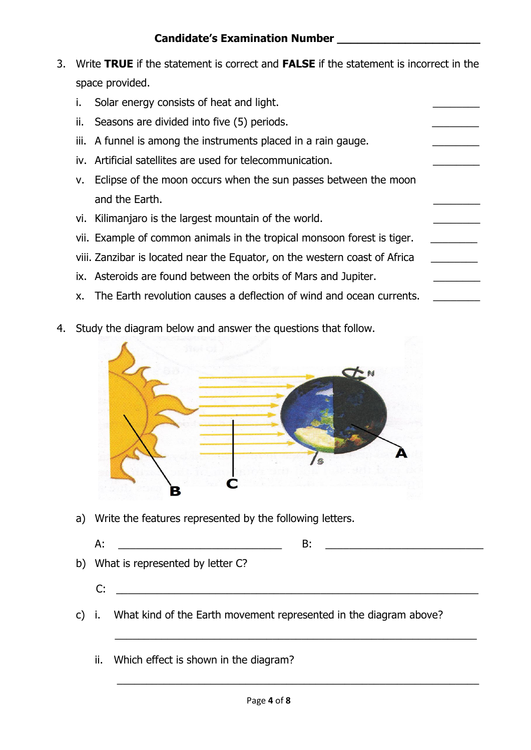- 3. Write **TRUE** if the statement is correct and **FALSE** if the statement is incorrect in the space provided.
	- i. Solar energy consists of heat and light.
	- ii. Seasons are divided into five (5) periods.
	- iii. A funnel is among the instruments placed in a rain gauge.
	- iv. Artificial satellites are used for telecommunication.
	- v. Eclipse of the moon occurs when the sun passes between the moon and the Earth.
	- vi. Kilimanjaro is the largest mountain of the world.
	- vii. Example of common animals in the tropical monsoon forest is tiger.
	- viii. Zanzibar is located near the Equator, on the western coast of Africa
	- ix. Asteroids are found between the orbits of Mars and Jupiter.
	- x. The Earth revolution causes a deflection of wind and ocean currents.
- 4. Study the diagram below and answer the questions that follow.



a) Write the features represented by the following letters.

A:  $\Box$ 

- b) What is represented by letter C?
	- $C:$
- c) i. What kind of the Earth movement represented in the diagram above?

 $\overline{\phantom{a}}$  ,  $\overline{\phantom{a}}$  ,  $\overline{\phantom{a}}$  ,  $\overline{\phantom{a}}$  ,  $\overline{\phantom{a}}$  ,  $\overline{\phantom{a}}$  ,  $\overline{\phantom{a}}$  ,  $\overline{\phantom{a}}$  ,  $\overline{\phantom{a}}$  ,  $\overline{\phantom{a}}$  ,  $\overline{\phantom{a}}$  ,  $\overline{\phantom{a}}$  ,  $\overline{\phantom{a}}$  ,  $\overline{\phantom{a}}$  ,  $\overline{\phantom{a}}$  ,  $\overline{\phantom{a}}$ 

ii. Which effect is shown in the diagram?

\_\_\_\_\_\_\_\_\_\_\_\_\_\_\_\_\_\_\_\_\_\_\_\_\_\_\_\_\_\_\_\_\_\_\_\_\_\_\_\_\_\_\_\_\_\_\_\_\_\_\_\_\_\_\_\_\_\_\_\_\_\_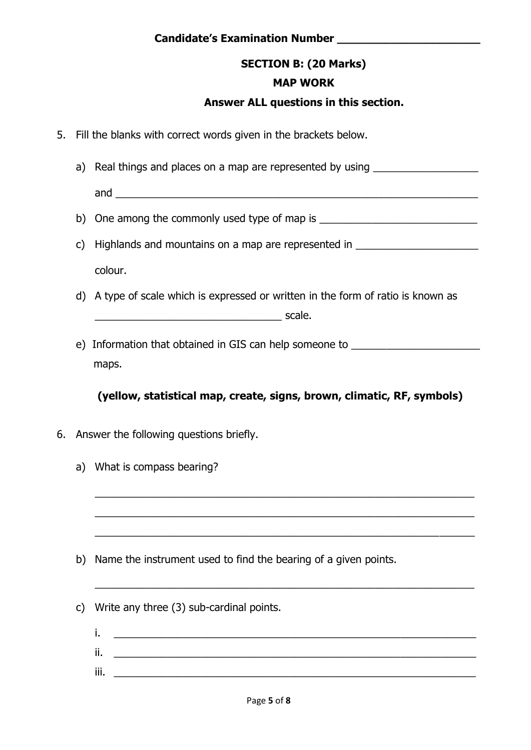#### **SECTION B: (20 Marks)**

#### **MAP WORK**

#### **Answer ALL questions in this section.**

- 5. Fill the blanks with correct words given in the brackets below.
	- a) Real things and places on a map are represented by using \_\_\_\_\_\_\_\_\_\_\_\_\_\_\_\_\_\_\_\_

and  $\overline{a}$ 

- b) One among the commonly used type of map is \_\_\_\_\_\_\_\_\_\_\_\_\_\_\_\_\_\_\_\_\_\_\_\_\_\_\_\_\_\_\_\_\_\_
- c) Highlands and mountains on a map are represented in \_\_\_\_\_\_\_\_\_\_\_\_\_\_\_\_\_\_\_\_\_\_\_\_\_ colour.
- d) A type of scale which is expressed or written in the form of ratio is known as  $\overline{\phantom{a}}$  scale.
- e) Information that obtained in GIS can help someone to maps.

#### **(yellow, statistical map, create, signs, brown, climatic, RF, symbols)**

\_\_\_\_\_\_\_\_\_\_\_\_\_\_\_\_\_\_\_\_\_\_\_\_\_\_\_\_\_\_\_\_\_\_\_\_\_\_\_\_\_\_\_\_\_\_\_\_\_\_\_\_\_\_\_\_\_\_\_\_\_\_\_\_\_

\_\_\_\_\_\_\_\_\_\_\_\_\_\_\_\_\_\_\_\_\_\_\_\_\_\_\_\_\_\_\_\_\_\_\_\_\_\_\_\_\_\_\_\_\_\_\_\_\_\_\_\_\_\_\_\_\_\_\_\_\_\_\_\_\_

\_\_\_\_\_\_\_\_\_\_\_\_\_\_\_\_\_\_\_\_\_\_\_\_\_\_\_\_\_\_\_\_\_\_\_\_\_\_\_\_\_\_\_\_\_\_\_\_\_\_\_\_\_\_\_\_\_\_\_\_\_\_\_\_\_

\_\_\_\_\_\_\_\_\_\_\_\_\_\_\_\_\_\_\_\_\_\_\_\_\_\_\_\_\_\_\_\_\_\_\_\_\_\_\_\_\_\_\_\_\_\_\_\_\_\_\_\_\_\_\_\_\_\_\_\_\_\_\_\_\_

- 6. Answer the following questions briefly.
	- a) What is compass bearing?

- b) Name the instrument used to find the bearing of a given points.
- c) Write any three (3) sub-cardinal points.
	- i. \_\_\_\_\_\_\_\_\_\_\_\_\_\_\_\_\_\_\_\_\_\_\_\_\_\_\_\_\_\_\_\_\_\_\_\_\_\_\_\_\_\_\_\_\_\_\_\_\_\_\_\_\_\_\_\_\_\_\_\_\_\_ ii. \_\_\_\_\_\_\_\_\_\_\_\_\_\_\_\_\_\_\_\_\_\_\_\_\_\_\_\_\_\_\_\_\_\_\_\_\_\_\_\_\_\_\_\_\_\_\_\_\_\_\_\_\_\_\_\_\_\_\_\_\_\_ iii. \_\_\_\_\_\_\_\_\_\_\_\_\_\_\_\_\_\_\_\_\_\_\_\_\_\_\_\_\_\_\_\_\_\_\_\_\_\_\_\_\_\_\_\_\_\_\_\_\_\_\_\_\_\_\_\_\_\_\_\_\_\_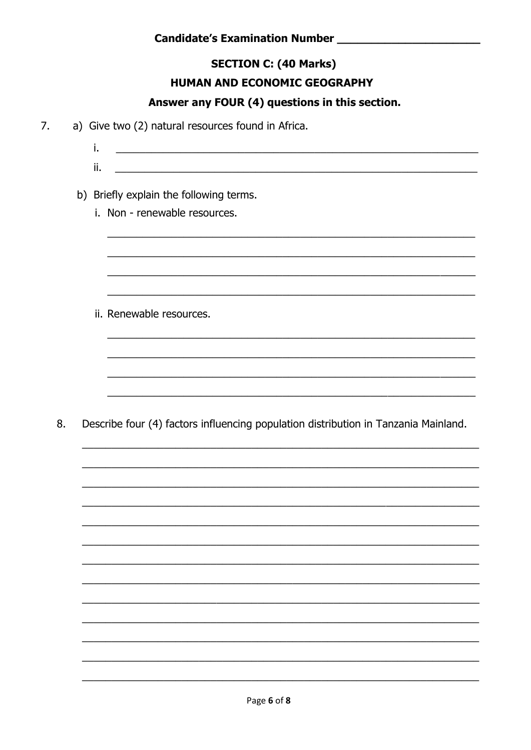#### **SECTION C: (40 Marks)**

#### **HUMAN AND ECONOMIC GEOGRAPHY**

#### Answer any FOUR (4) questions in this section.

- 7. a) Give two (2) natural resources found in Africa.
	- $i$ . <u> 1989 - Johann Barbara, martin amerikan basal dan berasal dan berasal dalam basal dan berasal dan berasal dan</u>
	-

#### b) Briefly explain the following terms.

i. Non - renewable resources.

ii. Renewable resources.

8. Describe four (4) factors influencing population distribution in Tanzania Mainland.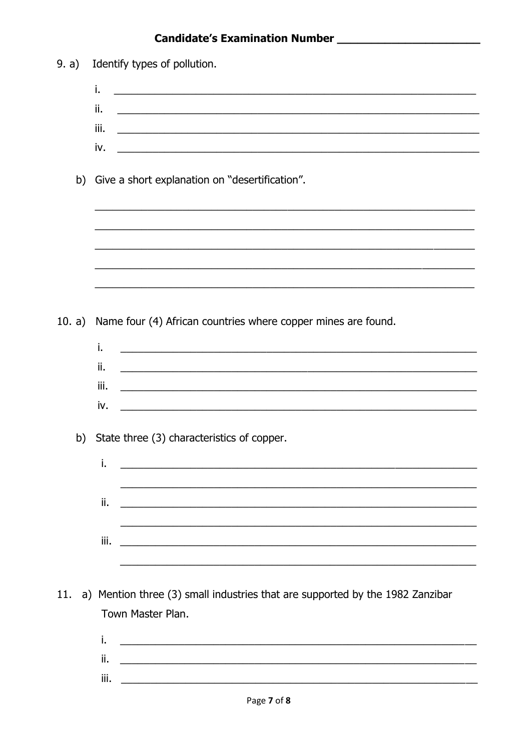9. a) Identify types of pollution.

|        |    | i.   |                                                                                                                       |
|--------|----|------|-----------------------------------------------------------------------------------------------------------------------|
|        |    | ii.  | <u> 1989 - Johann Harry Harry Harry Harry Harry Harry Harry Harry Harry Harry Harry Harry Harry Harry Harry Harry</u> |
|        |    | iii. | <u> 1989 - Johann Barbara, martin da basar da basar da basar da basar da basar da basar da basar da basar</u>         |
|        |    | iv.  |                                                                                                                       |
|        |    |      |                                                                                                                       |
|        |    |      | b) Give a short explanation on "desertification".                                                                     |
|        |    |      |                                                                                                                       |
|        |    |      |                                                                                                                       |
|        |    |      |                                                                                                                       |
|        |    |      |                                                                                                                       |
|        |    |      |                                                                                                                       |
|        |    |      |                                                                                                                       |
| 10. a) |    |      | Name four (4) African countries where copper mines are found.                                                         |
|        |    |      |                                                                                                                       |
|        |    | i.   |                                                                                                                       |
|        |    | ii.  | ,我们也不能在这里的时候,我们也不能在这里的时候,我们也不能在这里的时候,我们也不能会不能在这里的时候,我们也不能会不能会不能会不能会不能会不能会不能会不能会不                                      |
|        |    | iii. | <u> 1999 - Johann Barbara, markadar markada a shekara 1999 - 1999 - 1999 - 1999 - 1999 - 1999 - 1999 - 1999 - 19</u>  |
|        |    | iv.  |                                                                                                                       |
|        |    |      |                                                                                                                       |
|        | b) |      | State three (3) characteristics of copper.                                                                            |
|        |    | i.   | <u> La componentación de la componentación de la componentación de la componentación de la componentación de la c</u> |
|        |    |      | <u> 1989 - Johann Stoff, amerikansk politiker (d. 1989)</u>                                                           |
|        |    | ii.  | <u> 1989 - Johann John Stone, mars eta bat erroman erroman erroman erroman erroman erroman erroman erroman erroma</u> |
|        |    |      |                                                                                                                       |
|        |    | iii. |                                                                                                                       |
|        |    |      |                                                                                                                       |
|        |    |      |                                                                                                                       |
| 11.    |    |      | a) Mention three (3) small industries that are supported by the 1982 Zanzibar                                         |
|        |    |      | Town Master Plan.                                                                                                     |
|        |    | i.   |                                                                                                                       |
|        |    | ii.  |                                                                                                                       |